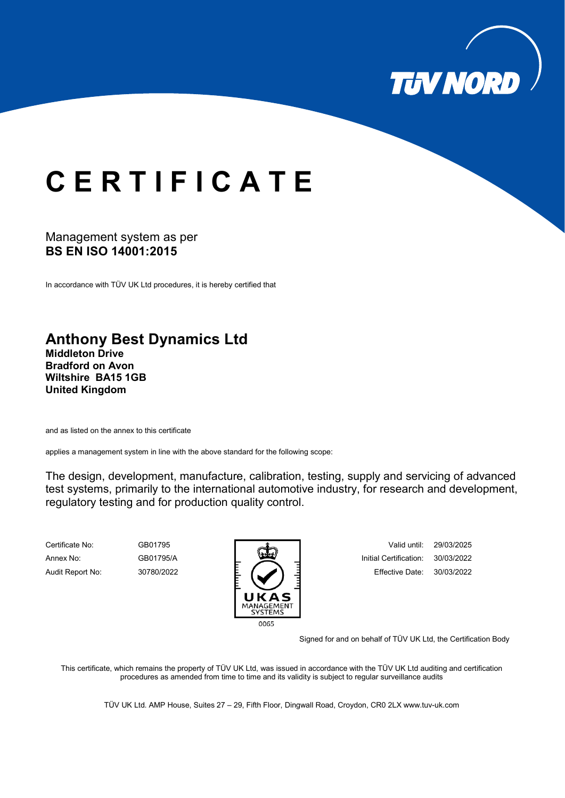

## **C E R T I F I C A T E**

## Management system as per **BS EN ISO 14001:2015**

In accordance with TÜV UK Ltd procedures, it is hereby certified that

## **Anthony Best Dynamics Ltd**

**Middleton Drive Bradford on Avon Wiltshire BA15 1GB United Kingdom**

and as listed on the annex to this certificate

applies a management system in line with the above standard for the following scope:

The design, development, manufacture, calibration, testing, supply and servicing of advanced test systems, primarily to the international automotive industry, for research and development, regulatory testing and for production quality control.



Annex No: GB01795/A **Initial Certification: 30/03/2022** Audit Report No: 30780/2022 E. **E. E. E. E. E. E**. Effective Date: 30/03/2022

Signed for and on behalf of TÜV UK Ltd, the Certification Body

This certificate, which remains the property of TÜV UK Ltd, was issued in accordance with the TÜV UK Ltd auditing and certification procedures as amended from time to time and its validity is subject to regular surveillance audits

TÜV UK Ltd. AMP House, Suites 27 – 29, Fifth Floor, Dingwall Road, Croydon, CR0 2L[X www.tuv-uk.com](http://www.tuv-uk.com/)